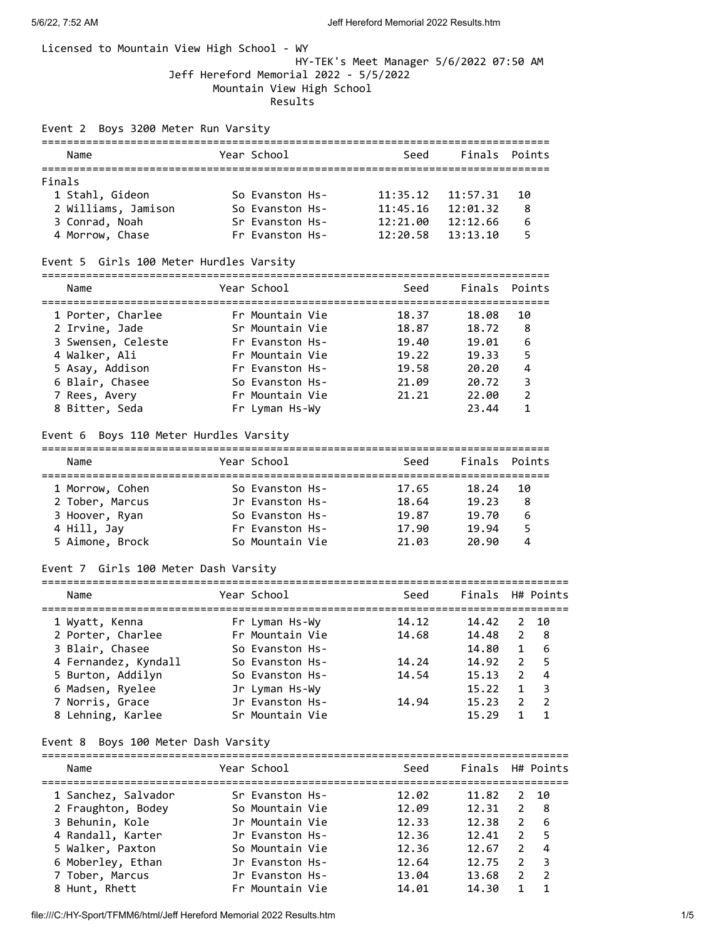## Licensed to Mountain View High School - WY

## HY-TEK's Meet Manager 5/6/2022 07:50 AM Jeff Hereford Memorial 2022 - 5/5/2022 Mountain View High School Results

## Event 2 Boys 3200 Meter Run Varsity

| Name                | Year School     | Seed     | Finals Points |    |  |  |  |  |
|---------------------|-----------------|----------|---------------|----|--|--|--|--|
|                     |                 |          |               |    |  |  |  |  |
| Finals              |                 |          |               |    |  |  |  |  |
| 1 Stahl, Gideon     | So Evanston Hs- | 11:35.12 | 11:57.31      | 10 |  |  |  |  |
| 2 Williams, Jamison | So Evanston Hs- | 11:45.16 | 12:01.32      | 8  |  |  |  |  |
| 3 Conrad, Noah      | Sr Evanston Hs- | 12:21.00 | 12:12.66      | 6  |  |  |  |  |
| 4 Morrow, Chase     | Fr Evanston Hs- | 12:20.58 | 13:13.10      |    |  |  |  |  |

### Event 5 Girls 100 Meter Hurdles Varsity

| Name               | Year School     | Seed  | Finals Points |    |
|--------------------|-----------------|-------|---------------|----|
| 1 Porter, Charlee  | Fr Mountain Vie | 18.37 | 18.08         | 10 |
| 2 Irvine, Jade     | Sr Mountain Vie | 18.87 | 18.72         | 8  |
| 3 Swensen, Celeste | Fr Evanston Hs- | 19.40 | 19.01         | 6  |
| 4 Walker, Ali      | Fr Mountain Vie | 19.22 | 19.33         | 5  |
| 5 Asay, Addison    | Fr Evanston Hs- | 19.58 | 20.20         | 4  |
| 6 Blair, Chasee    | So Evanston Hs- | 21.09 | 20.72         | 3  |
| 7 Rees, Avery      | Fr Mountain Vie | 21.21 | 22.00         | 2  |
| 8 Bitter, Seda     | Fr Lyman Hs-Wy  |       | 23.44         |    |

### Event 6 Boys 110 Meter Hurdles Varsity

| Name            | Year School     | Seed  | Finals Points |    |
|-----------------|-----------------|-------|---------------|----|
| 1 Morrow, Cohen | So Evanston Hs- | 17.65 | 18.24         | 10 |
| 2 Tober, Marcus | Jr Evanston Hs- | 18.64 | 19.23         | 8  |
| 3 Hoover, Ryan  | So Evanston Hs- | 19.87 | 19.70         | 6  |
| 4 Hill, Jay     | Fr Evanston Hs- | 17.90 | 19.94         |    |
| 5 Aimone, Brock | So Mountain Vie | 21.03 | 20.90         | Δ  |

### Event 7 Girls 100 Meter Dash Varsity

| Name                 | Year School     | Seed  | Finals H# Points |                |      |
|----------------------|-----------------|-------|------------------|----------------|------|
| 1 Wyatt, Kenna       | Fr Lyman Hs-Wy  | 14.12 | 14.42            |                | 2 10 |
| 2 Porter, Charlee    | Fr Mountain Vie | 14.68 | 14.48            | 2              | - 8  |
| 3 Blair, Chasee      | So Evanston Hs- |       | 14.80            | $\mathbf{1}$   | -6   |
| 4 Fernandez, Kyndall | So Evanston Hs- | 14.24 | 14.92            | $\overline{2}$ | - 5  |
| 5 Burton, Addilyn    | So Evanston Hs- | 14.54 | 15.13            | $\mathcal{P}$  | 4    |
| 6 Madsen, Ryelee     | Jr Lyman Hs-Wy  |       | 15.22            | $\mathbf{1}$   | - 3  |
| 7 Norris, Grace      | Jr Evanston Hs- | 14.94 | 15.23            | $\mathcal{P}$  | - 2  |
| 8 Lehning, Karlee    | Sr Mountain Vie |       | 15.29            |                |      |

## Event 8 Boys 100 Meter Dash Varsity

| Name                | Year School     | Seed  | Finals H# Points |               |     |
|---------------------|-----------------|-------|------------------|---------------|-----|
| 1 Sanchez, Salvador | Sr Evanston Hs- | 12.02 | 11.82            | 2             | -10 |
| 2 Fraughton, Bodey  | So Mountain Vie | 12.09 | 12.31            | $\mathcal{P}$ | - 8 |
| 3 Behunin, Kole     | Jr Mountain Vie | 12.33 | 12.38            | 2             | -6  |
| 4 Randall, Karter   | Jr Evanston Hs- | 12.36 | 12.41            | $\mathcal{P}$ | - 5 |
| 5 Walker, Paxton    | So Mountain Vie | 12.36 | 12.67            | $\mathcal{P}$ | 4   |
| 6 Moberley, Ethan   | Jr Evanston Hs- | 12.64 | 12.75            | $\mathcal{L}$ | - 3 |
| 7 Tober, Marcus     | Jr Evanston Hs- | 13.04 | 13.68            | 2             | - 2 |
| 8 Hunt, Rhett       | Fr Mountain Vie | 14.01 | 14.30            |               |     |
|                     |                 |       |                  |               |     |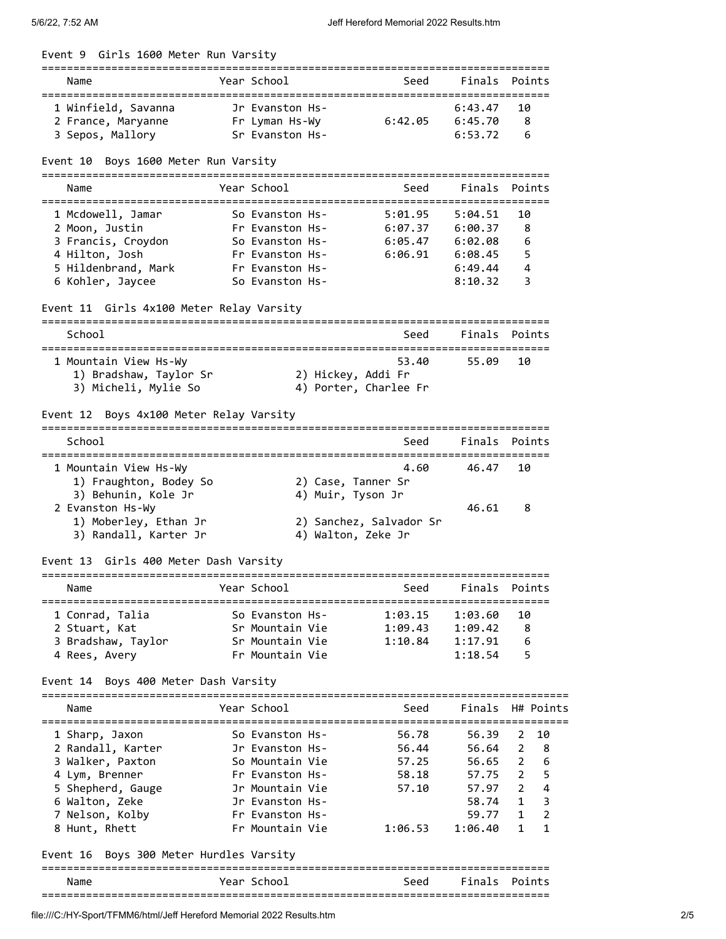| Event 9 Girls 1600 Meter Run Varsity       |                                    |                    |                         |                    |                                  |
|--------------------------------------------|------------------------------------|--------------------|-------------------------|--------------------|----------------------------------|
| Name                                       | Year School                        |                    | Seed                    | Finals Points      |                                  |
| 1 Winfield, Savanna                        | Jr Evanston Hs-                    |                    |                         | 6:43.47            | 10                               |
| 2 France, Maryanne                         | Fr Lyman Hs-Wy                     |                    | 6:42.05                 | 6:45.70            | 8                                |
| 3 Sepos, Mallory                           | Sr Evanston Hs-                    |                    |                         | 6:53.72            | 6                                |
| Event 10 Boys 1600 Meter Run Varsity       |                                    |                    |                         |                    |                                  |
| Name                                       | Year School                        |                    | Seed                    | Finals             | Points                           |
| 1 Mcdowell, Jamar                          | So Evanston Hs-                    |                    | 5:01.95                 | 5:04.51            | 10                               |
| 2 Moon, Justin                             | Fr Evanston Hs-                    |                    | 6:07.37                 | 6:00.37            | 8                                |
| 3 Francis, Croydon                         | So Evanston Hs-                    |                    | 6:05.47                 | 6:02.08            | 6                                |
| 4 Hilton, Josh                             | Fr Evanston Hs-                    |                    | 6:06.91                 | 6:08.45            | 5                                |
| 5 Hildenbrand, Mark                        | Fr Evanston Hs-                    |                    |                         | 6:49.44            | 4                                |
| 6 Kohler, Jaycee                           | So Evanston Hs-                    |                    |                         | 8:10.32            | 3                                |
| Event 11 Girls 4x100 Meter Relay Varsity   |                                    |                    |                         |                    |                                  |
| School                                     |                                    |                    | Seed                    |                    | Finals Points                    |
| 1 Mountain View Hs-Wy                      |                                    |                    | 53.40                   | 55.09              | 10                               |
| 1) Bradshaw, Taylor Sr                     |                                    | 2) Hickey, Addi Fr |                         |                    |                                  |
| 3) Micheli, Mylie So                       |                                    |                    | 4) Porter, Charlee Fr   |                    |                                  |
|                                            |                                    |                    |                         |                    |                                  |
| Event 12 Boys 4x100 Meter Relay Varsity    |                                    |                    |                         |                    |                                  |
| School                                     |                                    |                    | Seed                    | Finals             | Points                           |
| 1 Mountain View Hs-Wy                      |                                    |                    | 4.60                    | 46.47              | 10                               |
| 1) Fraughton, Bodey So                     |                                    | 2) Case, Tanner Sr |                         |                    |                                  |
| 3) Behunin, Kole Jr                        |                                    | 4) Muir, Tyson Jr  |                         |                    |                                  |
| 2 Evanston Hs-Wy                           |                                    |                    |                         | 46.61              | 8                                |
| 1) Moberley, Ethan Jr                      |                                    |                    | 2) Sanchez, Salvador Sr |                    |                                  |
| 3) Randall, Karter Jr                      |                                    | 4) Walton, Zeke Jr |                         |                    |                                  |
| Event 13 Girls 400 Meter Dash Varsity      |                                    |                    |                         |                    |                                  |
| Name                                       | Year School                        |                    | Seed                    | Finals             | Points                           |
| ===============                            |                                    |                    |                         |                    |                                  |
| 1 Conrad, Talia                            | So Evanston Hs-                    |                    | 1:03.15                 | 1:03.60            | 10                               |
| 2 Stuart, Kat                              | Sr Mountain Vie                    |                    | 1:09.43                 | 1:09.42            | 8                                |
| 3 Bradshaw, Taylor                         | Sr Mountain Vie<br>Fr Mountain Vie |                    | 1:10.84                 | 1:17.91<br>1:18.54 | 6<br>5                           |
| 4 Rees, Avery                              |                                    |                    |                         |                    |                                  |
| Boys 400 Meter Dash Varsity<br>Event 14    |                                    |                    |                         |                    |                                  |
| Name                                       | Year School                        |                    | Seed                    | Finals             | H# Points                        |
| 1 Sharp, Jaxon                             | So Evanston Hs-                    |                    | 56.78                   | 56.39              | 2<br>10                          |
| 2 Randall, Karter                          | Jr Evanston Hs-                    |                    | 56.44                   | 56.64              | 2<br>8                           |
| 3 Walker, Paxton                           | So Mountain Vie                    |                    | 57.25                   | 56.65              | 2<br>6                           |
| 4 Lym, Brenner                             | Fr Evanston Hs-                    |                    | 58.18                   | 57.75              | 5<br>2                           |
| 5 Shepherd, Gauge                          | Jr Mountain Vie                    |                    | 57.10                   | 57.97              | $\overline{4}$<br>$\overline{2}$ |
| 6 Walton, Zeke                             | Jr Evanston Hs-                    |                    |                         | 58.74              | 3<br>1                           |
| 7 Nelson, Kolby                            | Fr Evanston Hs-                    |                    |                         | 59.77              | $\overline{2}$<br>1              |
| 8 Hunt, Rhett                              | Fr Mountain Vie                    |                    | 1:06.53                 | 1:06.40            | $\mathbf{1}$<br>$\mathbf{1}$     |
| Boys 300 Meter Hurdles Varsity<br>Event 16 |                                    |                    |                         |                    |                                  |
| Name                                       | Year School                        |                    | Seed                    | Finals             | Points                           |
|                                            |                                    |                    |                         |                    |                                  |

file:///C:/HY-Sport/TFMM6/html/Jeff Hereford Memorial 2022 Results.htm 2/5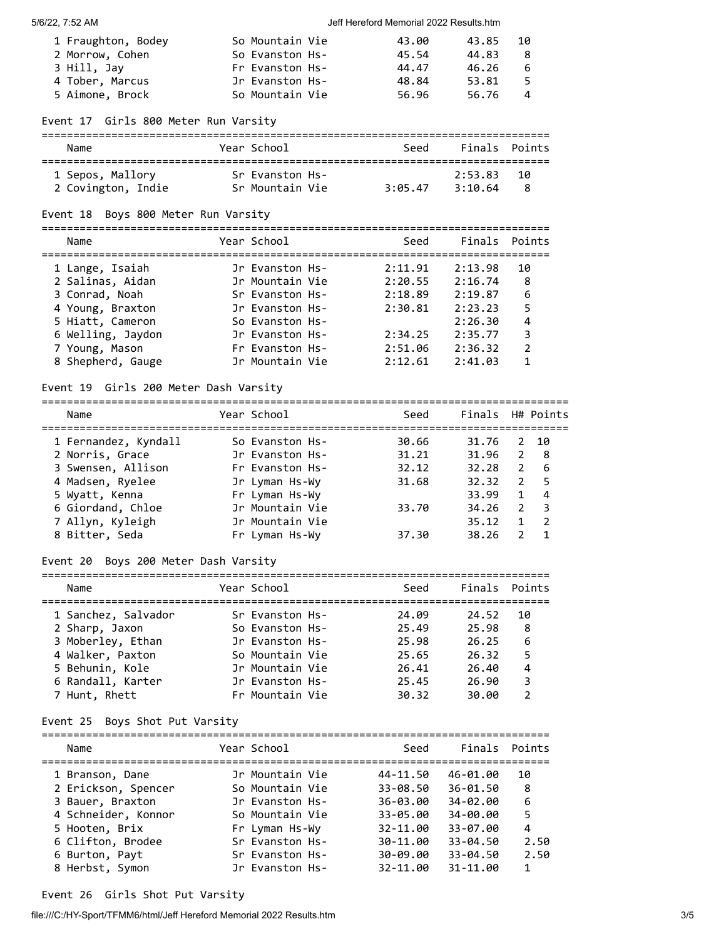#### 5/6/22, 7:52 AM Jeff Hereford Memorial 2022 Results.htm

| 1 Fraughton, Bodey | So Mountain Vie | 43.00 | 43.85 | -10            |
|--------------------|-----------------|-------|-------|----------------|
| 2 Morrow, Cohen    | So Evanston Hs- | 45.54 | 44.83 |                |
| 3 Hill, Jav        | Fr Evanston Hs- | 44.47 | 46.26 | 6              |
| 4 Tober, Marcus    | Jr Evanston Hs- | 48.84 | 53.81 | 5.             |
| 5 Aimone, Brock    | So Mountain Vie | 56.96 | 56.76 | $\overline{a}$ |

### Event 17 Girls 800 Meter Run Varsity

| Name               | Year School     | Seed    | Finals Points |     |
|--------------------|-----------------|---------|---------------|-----|
| 1 Sepos, Mallory   | Sr Evanston Hs- |         | 2:53.83       | -10 |
| 2 Covington, Indie | Sr Mountain Vie | 3:05.47 | 3:10.64       | 8   |

### Event 18 Boys 800 Meter Run Varsity

================================================================================

| Name              | Year School     | Seed    |         | Finals Points |
|-------------------|-----------------|---------|---------|---------------|
| 1 Lange, Isaiah   | Jr Evanston Hs- | 2:11.91 | 2:13.98 | 10            |
| 2 Salinas, Aidan  | Jr Mountain Vie | 2:20.55 | 2:16.74 | 8             |
| 3 Conrad, Noah    | Sr Evanston Hs- | 2:18.89 | 2:19.87 | 6             |
| 4 Young, Braxton  | Jr Evanston Hs- | 2:30.81 | 2:23.23 | 5             |
| 5 Hiatt, Cameron  | So Evanston Hs- |         | 2:26.30 | 4             |
| 6 Welling, Jaydon | Jr Evanston Hs- | 2:34.25 | 2:35.77 | 3             |
| 7 Young, Mason    | Fr Evanston Hs- | 2:51.06 | 2:36.32 | $\mathcal{P}$ |
| 8 Shepherd, Gauge | Jr Mountain Vie | 2:12.61 | 2:41.03 |               |

### Event 19 Girls 200 Meter Dash Varsity

===================================================================================

| Name                 | Year School     | Seed  | Finals H# Points |               |                |
|----------------------|-----------------|-------|------------------|---------------|----------------|
| 1 Fernandez, Kyndall | So Evanston Hs- | 30.66 | 31.76            |               | 2 10           |
| 2 Norris, Grace      | Jr Evanston Hs- | 31.21 | 31.96            | 2             | - 8            |
| 3 Swensen, Allison   | Fr Evanston Hs- | 32.12 | 32.28            | $\mathcal{P}$ | - 6            |
| 4 Madsen, Ryelee     | Jr Lyman Hs-Wy  | 31.68 | 32.32            |               | 2 <sub>5</sub> |
| 5 Wyatt, Kenna       | Fr Lyman Hs-Wy  |       | 33.99            | $\mathbf{1}$  | 4              |
| 6 Giordand, Chloe    | Jr Mountain Vie | 33.70 | 34.26            | 2             | - 3            |
| 7 Allyn, Kyleigh     | Jr Mountain Vie |       | 35.12            |               | $\overline{2}$ |
| 8 Bitter, Seda       | Fr Lyman Hs-Wy  | 37.30 | 38.26            |               |                |

### Event 20 Boys 200 Meter Dash Varsity

| Name                | Year School     | Seed  | Finals Points |    |
|---------------------|-----------------|-------|---------------|----|
| 1 Sanchez, Salvador | Sr Evanston Hs- | 24.09 | 24.52         | 10 |
| 2 Sharp, Jaxon      | So Evanston Hs- | 25.49 | 25.98         | 8  |
| 3 Moberley, Ethan   | Jr Evanston Hs- | 25.98 | 26.25         | 6  |
| 4 Walker, Paxton    | So Mountain Vie | 25.65 | 26.32         |    |
| 5 Behunin, Kole     | Jr Mountain Vie | 26.41 | 26.40         | 4  |
| 6 Randall, Karter   | Jr Evanston Hs- | 25.45 | 26.90         | 3  |
| 7 Hunt, Rhett       | Fr Mountain Vie | 30.32 | 30.00         |    |
|                     |                 |       |               |    |

Event 25 Boys Shot Put Varsity

| Name                | Year School     | Seed         |              | Finals Points |
|---------------------|-----------------|--------------|--------------|---------------|
| 1 Branson, Dane     | Jr Mountain Vie | 44-11.50     | 46-01.00     | 10            |
| 2 Erickson, Spencer | So Mountain Vie | $33 - 08.50$ | $36 - 01.50$ | 8             |
| 3 Bauer, Braxton    | Jr Evanston Hs- | $36 - 03.00$ | 34-02.00     | 6             |
| 4 Schneider, Konnor | So Mountain Vie | $33 - 05.00$ | 34-00.00     | 5             |
| 5 Hooten, Brix      | Fr Lyman Hs-Wy  | 32-11.00     | 33-07.00     | 4             |
| 6 Clifton, Brodee   | Sr Evanston Hs- | 30-11.00     | $33 - 04.50$ | 2.50          |
| 6 Burton, Payt      | Sr Evanston Hs- | $30 - 09.00$ | $33 - 04.50$ | 2.50          |
| 8 Herbst, Symon     | Jr Evanston Hs- | 32-11.00     | 31-11.00     | $\mathbf{1}$  |

file:///C:/HY-Sport/TFMM6/html/Jeff Hereford Memorial 2022 Results.htm 3/5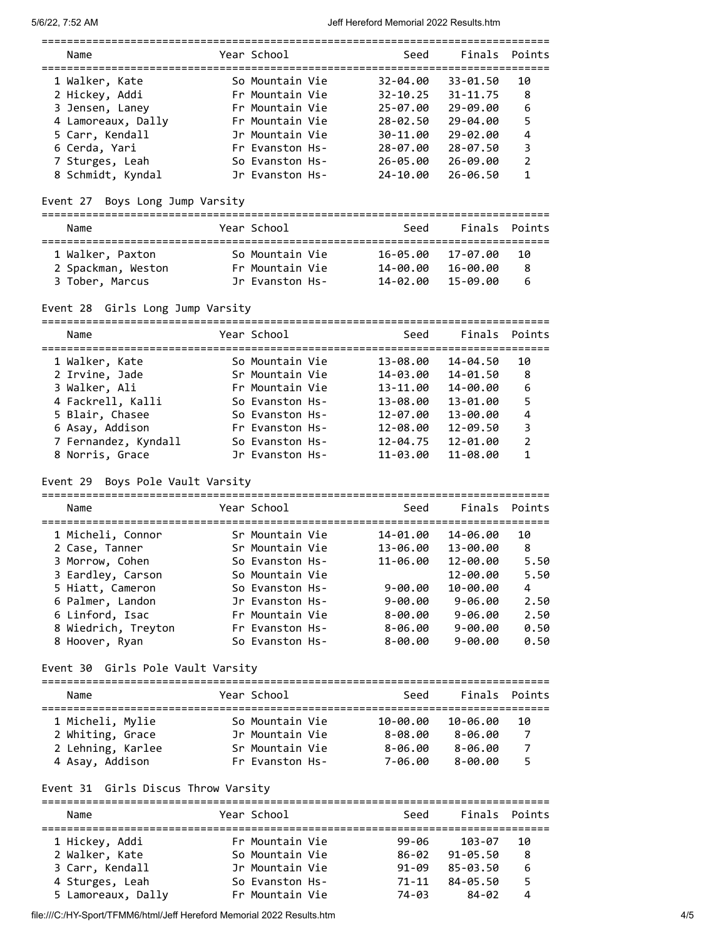5/6/22, 7:52 AM Jeff Hereford Memorial 2022 Results.htm

| Name |                    | Year School     | Seed         | Finals Points |    |
|------|--------------------|-----------------|--------------|---------------|----|
|      | 1 Walker, Kate     | So Mountain Vie | $32 - 04.00$ | 33-01.50      | 10 |
|      | 2 Hickey, Addi     | Fr Mountain Vie | $32 - 10.25$ | $31 - 11.75$  | 8  |
|      | 3 Jensen, Laney    | Fr Mountain Vie | $25 - 07.00$ | 29-09.00      | 6  |
|      | 4 Lamoreaux, Dally | Fr Mountain Vie | $28 - 02.50$ | $29 - 04.00$  | 5  |
|      | 5 Carr, Kendall    | Jr Mountain Vie | 30-11.00     | 29-02.00      | 4  |
|      | 6 Cerda, Yari      | Fr Evanston Hs- | $28 - 07.00$ | $28 - 07.50$  | 3  |
|      | 7 Sturges, Leah    | So Evanston Hs- | $26 - 05.00$ | 26-09.00      | 2  |
|      | 8 Schmidt, Kyndal  | Jr Evanston Hs- | 24-10.00     | $26 - 06.50$  |    |

Event 27 Boys Long Jump Varsity

| Name               | Year School     | Seed     |          | Finals Points |
|--------------------|-----------------|----------|----------|---------------|
| 1 Walker, Paxton   | So Mountain Vie | 16-05.00 | 17-07.00 | 10            |
| 2 Spackman, Weston | Fr Mountain Vie | 14-00.00 | 16-00.00 | 8             |
| 3 Tober, Marcus    | Jr Evanston Hs- | 14-02.00 | 15-09.00 | 6             |

# Event 28 Girls Long Jump Varsity

| Name                 | Year School     | Seed         | Finals Points |                |
|----------------------|-----------------|--------------|---------------|----------------|
| 1 Walker, Kate       | So Mountain Vie | 13-08.00     | 14-04.50      | 10             |
| 2 Irvine, Jade       | Sr Mountain Vie | 14-03.00     | 14-01.50      | 8              |
| 3 Walker, Ali        | Fr Mountain Vie | 13-11.00     | 14-00.00      | 6              |
| 4 Fackrell, Kalli    | So Evanston Hs- | 13-08.00     | 13-01.00      | 5              |
| 5 Blair, Chasee      | So Evanston Hs- | 12-07.00     | 13-00.00      | 4              |
| 6 Asay, Addison      | Fr Evanston Hs- | 12-08.00     | $12 - 09.50$  | 3              |
| 7 Fernandez, Kyndall | So Evanston Hs- | $12 - 04.75$ | 12-01.00      | $\overline{2}$ |
| 8 Norris, Grace      | Jr Evanston Hs- | $11 - 03.00$ | 11-08.00      | 1              |

# Event 29 Boys Pole Vault Varsity

| Name                | Year School     | Seed        | Finals Points |      |
|---------------------|-----------------|-------------|---------------|------|
| 1 Micheli, Connor   | Sr Mountain Vie | 14-01.00    | 14-06.00      | 10   |
| 2 Case, Tanner      | Sr Mountain Vie | 13-06.00    | 13-00.00      | 8    |
| 3 Morrow, Cohen     | So Evanston Hs- | 11-06.00    | 12-00.00      | 5.50 |
| 3 Eardley, Carson   | So Mountain Vie |             | 12-00.00      | 5.50 |
| 5 Hiatt, Cameron    | So Evanston Hs- | $9 - 00.00$ | $10 - 00.00$  | 4    |
| 6 Palmer, Landon    | Jr Evanston Hs- | $9 - 00.00$ | $9 - 06.00$   | 2.50 |
| 6 Linford, Isac     | Fr Mountain Vie | $8 - 00.00$ | $9 - 06.00$   | 2.50 |
| 8 Wiedrich, Treyton | Fr Evanston Hs- | $8 - 06.00$ | $9 - 00.00$   | 0.50 |
| 8 Hoover, Ryan      | So Evanston Hs- | $8 - 00.00$ | $9 - 00.00$   | 0.50 |
|                     |                 |             |               |      |

# Event 30 Girls Pole Vault Varsity

| Name              | Year School     | Seed        |             | Finals Points |
|-------------------|-----------------|-------------|-------------|---------------|
| 1 Micheli, Mylie  | So Mountain Vie | 10-00.00    | 10-06.00    | 10            |
| 2 Whiting, Grace  | Jr Mountain Vie | $8 - 08.00$ | $8 - 06.00$ | 7             |
| 2 Lehning, Karlee | Sr Mountain Vie | $8 - 06.00$ | $8 - 06.00$ | 7             |
| 4 Asay, Addison   | Fr Evanston Hs- | 7-06.00     | $8 - 00.00$ |               |

# Event 31 Girls Discus Throw Varsity

| Name               | Year School     | Seed      | Finals Points |    |
|--------------------|-----------------|-----------|---------------|----|
| 1 Hickey, Addi     | Fr Mountain Vie | 99-06     | 103-07        | 10 |
| 2 Walker, Kate     | So Mountain Vie | 86-02     | $91 - 05.50$  | 8  |
| 3 Carr, Kendall    | Jr Mountain Vie | $91 - 09$ | 85-03.50      | 6  |
| 4 Sturges, Leah    | So Evanston Hs- | 71-11     | 84-05.50      |    |
| 5 Lamoreaux, Dally | Fr Mountain Vie | 74-03     | 84-02         |    |

file:///C:/HY-Sport/TFMM6/html/Jeff Hereford Memorial 2022 Results.htm 4/5